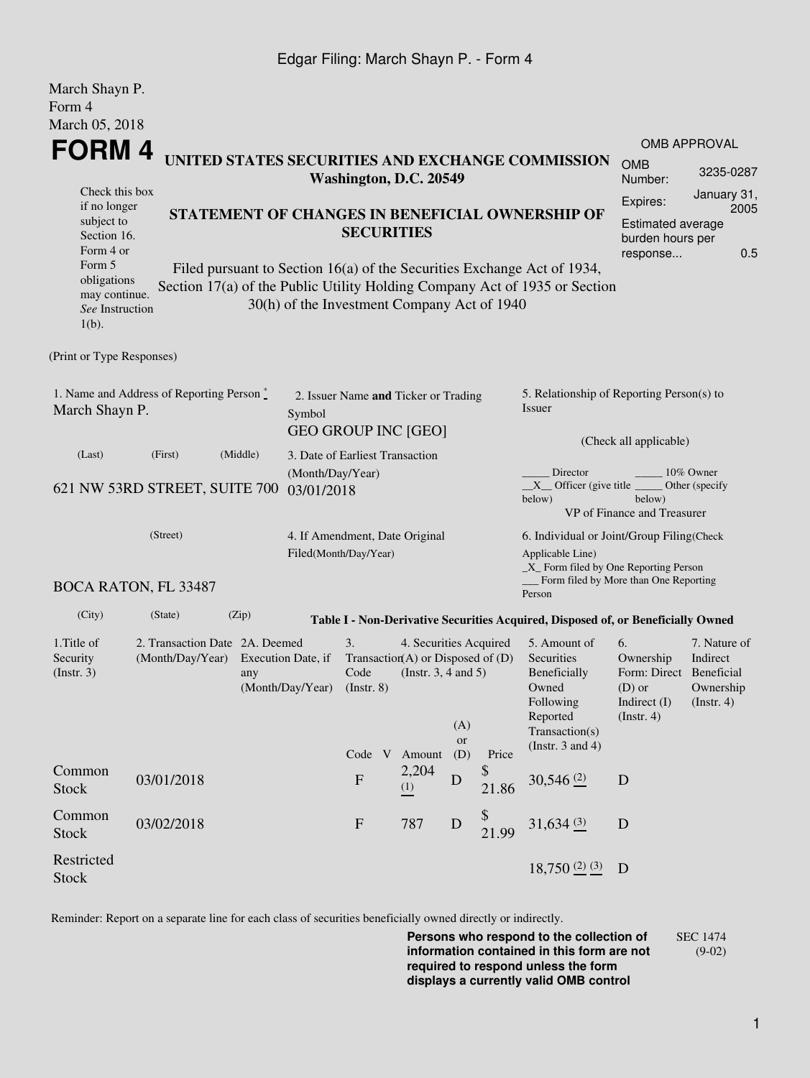## Edgar Filing: March Shayn P. - Form 4

| March Shayn P.<br>Form 4                                                             |                                                                                                                                                 |                                |                                                                                                                                    |                                                         |              |                  |                                                                                                                                                |                                                                                                                                                    |                                                                                             |                     |  |
|--------------------------------------------------------------------------------------|-------------------------------------------------------------------------------------------------------------------------------------------------|--------------------------------|------------------------------------------------------------------------------------------------------------------------------------|---------------------------------------------------------|--------------|------------------|------------------------------------------------------------------------------------------------------------------------------------------------|----------------------------------------------------------------------------------------------------------------------------------------------------|---------------------------------------------------------------------------------------------|---------------------|--|
| March 05, 2018<br>FORM 4                                                             |                                                                                                                                                 |                                |                                                                                                                                    |                                                         |              |                  |                                                                                                                                                |                                                                                                                                                    |                                                                                             | <b>OMB APPROVAL</b> |  |
| UNITED STATES SECURITIES AND EXCHANGE COMMISSION<br>Washington, D.C. 20549           |                                                                                                                                                 |                                |                                                                                                                                    |                                                         |              |                  |                                                                                                                                                | <b>OMB</b><br>Number:                                                                                                                              | 3235-0287                                                                                   |                     |  |
| Check this box<br>if no longer<br>subject to<br>Section 16.<br>Form 4 or<br>Form 5   | STATEMENT OF CHANGES IN BENEFICIAL OWNERSHIP OF<br><b>SECURITIES</b><br>Filed pursuant to Section 16(a) of the Securities Exchange Act of 1934, |                                |                                                                                                                                    |                                                         |              |                  |                                                                                                                                                |                                                                                                                                                    | January 31,<br>Expires:<br>2005<br>Estimated average<br>burden hours per<br>0.5<br>response |                     |  |
| obligations<br>may continue.<br>See Instruction<br>$1(b)$ .                          |                                                                                                                                                 |                                |                                                                                                                                    | 30(h) of the Investment Company Act of 1940             |              |                  |                                                                                                                                                | Section 17(a) of the Public Utility Holding Company Act of 1935 or Section                                                                         |                                                                                             |                     |  |
| (Print or Type Responses)                                                            |                                                                                                                                                 |                                |                                                                                                                                    |                                                         |              |                  |                                                                                                                                                |                                                                                                                                                    |                                                                                             |                     |  |
| 1. Name and Address of Reporting Person $\stackrel{*}{\mathbb{L}}$<br>March Shayn P. |                                                                                                                                                 |                                | 2. Issuer Name and Ticker or Trading<br>Symbol<br><b>GEO GROUP INC [GEO]</b>                                                       |                                                         |              |                  |                                                                                                                                                | 5. Relationship of Reporting Person(s) to<br>Issuer                                                                                                |                                                                                             |                     |  |
| (Last)                                                                               | (First)                                                                                                                                         | (Middle)                       | 3. Date of Earliest Transaction                                                                                                    |                                                         |              |                  |                                                                                                                                                | (Check all applicable)                                                                                                                             |                                                                                             |                     |  |
| 621 NW 53RD STREET, SUITE 700                                                        |                                                                                                                                                 | (Month/Day/Year)<br>03/01/2018 |                                                                                                                                    |                                                         |              |                  | Director<br>10% Owner<br>$X$ Officer (give title $\overline{\phantom{a}}$<br>Other (specify<br>below)<br>below)<br>VP of Finance and Treasurer |                                                                                                                                                    |                                                                                             |                     |  |
| (Street)                                                                             |                                                                                                                                                 |                                |                                                                                                                                    | 4. If Amendment, Date Original<br>Filed(Month/Day/Year) |              |                  |                                                                                                                                                | 6. Individual or Joint/Group Filing(Check<br>Applicable Line)<br>_X_ Form filed by One Reporting Person<br>Form filed by More than One Reporting   |                                                                                             |                     |  |
|                                                                                      | BOCA RATON, FL 33487                                                                                                                            |                                |                                                                                                                                    |                                                         |              |                  |                                                                                                                                                | Person                                                                                                                                             |                                                                                             |                     |  |
| (City)                                                                               | (State)                                                                                                                                         | (Zip)                          |                                                                                                                                    |                                                         |              |                  |                                                                                                                                                | Table I - Non-Derivative Securities Acquired, Disposed of, or Beneficially Owned                                                                   |                                                                                             |                     |  |
| 1. Title of<br>Security<br>(Insert. 3)                                               | 2. Transaction Date 2A. Deemed<br>(Month/Day/Year)<br>Execution Date, if<br>any<br>(Month/Day/Year)                                             |                                | 3.<br>4. Securities Acquired<br>Transaction(A) or Disposed of $(D)$<br>Code<br>(Instr. $3, 4$ and $5$ )<br>$($ Instr. 8 $)$<br>(A) |                                                         |              |                  | 5. Amount of<br>Securities<br>Beneficially<br>Owned<br>Following<br>Reported<br>Transaction(s)                                                 | 6.<br>7. Nature of<br>Indirect<br>Ownership<br>Form: Direct Beneficial<br>$(D)$ or<br>Ownership<br>Indirect (I)<br>(Insert. 4)<br>$($ Instr. 4 $)$ |                                                                                             |                     |  |
|                                                                                      |                                                                                                                                                 |                                |                                                                                                                                    | Code V Amount                                           |              | <b>or</b><br>(D) | Price                                                                                                                                          | (Instr. $3$ and $4$ )                                                                                                                              |                                                                                             |                     |  |
| Common<br><b>Stock</b>                                                               | 03/01/2018                                                                                                                                      |                                |                                                                                                                                    | $\boldsymbol{\mathrm{F}}$                               | 2,204<br>(1) | $\mathbf D$      | \$<br>21.86                                                                                                                                    | $30,546$ <sup>(2)</sup>                                                                                                                            | D                                                                                           |                     |  |
| Common<br><b>Stock</b>                                                               | 03/02/2018                                                                                                                                      |                                |                                                                                                                                    | $\mathbf{F}$                                            | 787          | D                | \$<br>21.99                                                                                                                                    | $31,634$ $(3)$                                                                                                                                     | D                                                                                           |                     |  |
| Restricted<br><b>Stock</b>                                                           |                                                                                                                                                 |                                |                                                                                                                                    |                                                         |              |                  |                                                                                                                                                | $18,750$ $(2)$ $(3)$                                                                                                                               | D                                                                                           |                     |  |

Reminder: Report on a separate line for each class of securities beneficially owned directly or indirectly.

**Persons who respond to the collection of information contained in this form are not required to respond unless the form displays a currently valid OMB control** SEC 1474 (9-02)